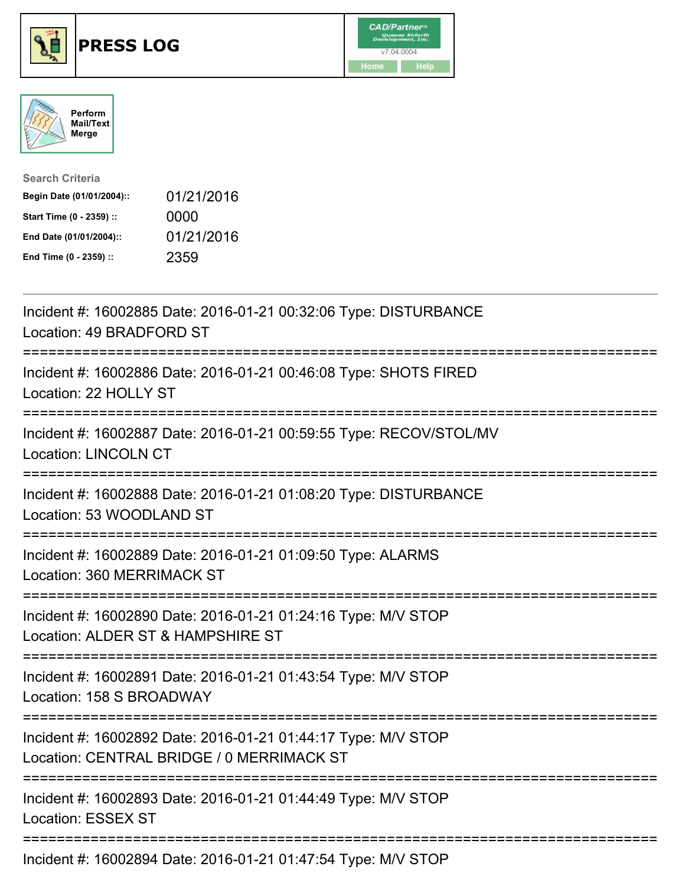





| <b>Search Criteria</b>    |            |
|---------------------------|------------|
| Begin Date (01/01/2004):: | 01/21/2016 |
| Start Time (0 - 2359) ::  | 0000       |
| End Date (01/01/2004)::   | 01/21/2016 |
| End Time (0 - 2359) ::    | 2359       |

| Incident #: 16002885 Date: 2016-01-21 00:32:06 Type: DISTURBANCE<br>Location: 49 BRADFORD ST                                                                                                                                                                                                                                              |
|-------------------------------------------------------------------------------------------------------------------------------------------------------------------------------------------------------------------------------------------------------------------------------------------------------------------------------------------|
| Incident #: 16002886 Date: 2016-01-21 00:46:08 Type: SHOTS FIRED<br>Location: 22 HOLLY ST                                                                                                                                                                                                                                                 |
| Incident #: 16002887 Date: 2016-01-21 00:59:55 Type: RECOV/STOL/MV<br><b>Location: LINCOLN CT</b>                                                                                                                                                                                                                                         |
| Incident #: 16002888 Date: 2016-01-21 01:08:20 Type: DISTURBANCE<br>Location: 53 WOODLAND ST<br>--------------------                                                                                                                                                                                                                      |
| Incident #: 16002889 Date: 2016-01-21 01:09:50 Type: ALARMS<br>Location: 360 MERRIMACK ST<br>:===================================                                                                                                                                                                                                         |
| Incident #: 16002890 Date: 2016-01-21 01:24:16 Type: M/V STOP<br>Location: ALDER ST & HAMPSHIRE ST<br>:==================================                                                                                                                                                                                                 |
| Incident #: 16002891 Date: 2016-01-21 01:43:54 Type: M/V STOP<br>Location: 158 S BROADWAY                                                                                                                                                                                                                                                 |
| Incident #: 16002892 Date: 2016-01-21 01:44:17 Type: M/V STOP<br>Location: CENTRAL BRIDGE / 0 MERRIMACK ST                                                                                                                                                                                                                                |
| Incident #: 16002893 Date: 2016-01-21 01:44:49 Type: M/V STOP<br><b>Location: ESSEX ST</b>                                                                                                                                                                                                                                                |
| $\mathbf{r}$ , $\mathbf{r}$ , $\mathbf{r}$ , $\mathbf{r}$ , $\mathbf{r}$ , $\mathbf{r}$ , $\mathbf{r}$ , $\mathbf{r}$ , $\mathbf{r}$ , $\mathbf{r}$ , $\mathbf{r}$ , $\mathbf{r}$ , $\mathbf{r}$ , $\mathbf{r}$ , $\mathbf{r}$ , $\mathbf{r}$ , $\mathbf{r}$ , $\mathbf{r}$ , $\mathbf{r}$ , $\mathbf{r}$ , $\mathbf{r}$ , $\mathbf{r}$ , |

Incident #: 16002894 Date: 2016-01-21 01:47:54 Type: M/V STOP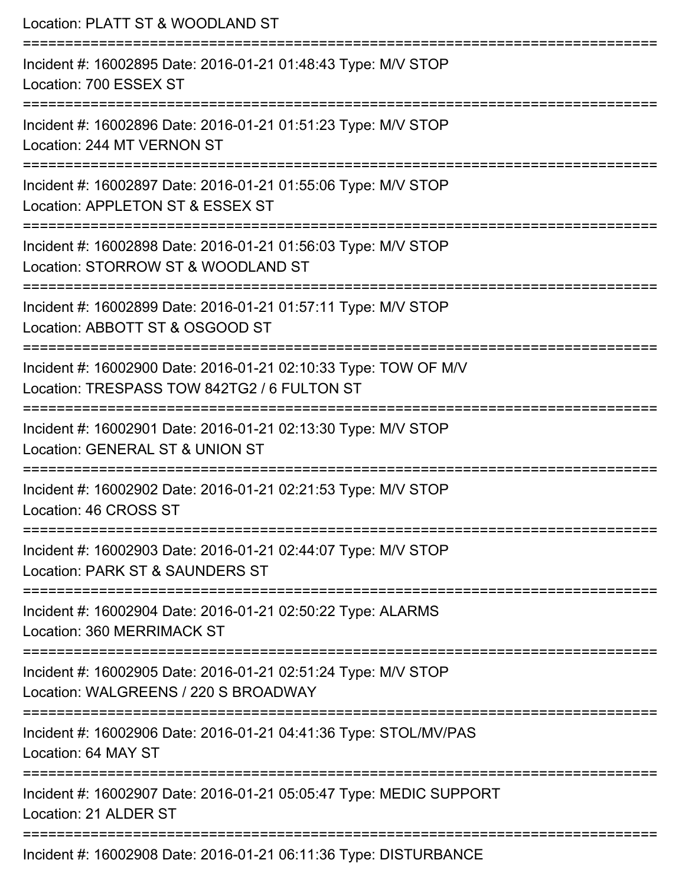| Location: PLATT ST & WOODLAND ST                                                                                                        |
|-----------------------------------------------------------------------------------------------------------------------------------------|
| Incident #: 16002895 Date: 2016-01-21 01:48:43 Type: M/V STOP<br>Location: 700 ESSEX ST                                                 |
| Incident #: 16002896 Date: 2016-01-21 01:51:23 Type: M/V STOP<br>Location: 244 MT VERNON ST<br>=======================                  |
| Incident #: 16002897 Date: 2016-01-21 01:55:06 Type: M/V STOP<br>Location: APPLETON ST & ESSEX ST                                       |
| Incident #: 16002898 Date: 2016-01-21 01:56:03 Type: M/V STOP<br>Location: STORROW ST & WOODLAND ST                                     |
| Incident #: 16002899 Date: 2016-01-21 01:57:11 Type: M/V STOP<br>Location: ABBOTT ST & OSGOOD ST                                        |
| =====================<br>Incident #: 16002900 Date: 2016-01-21 02:10:33 Type: TOW OF M/V<br>Location: TRESPASS TOW 842TG2 / 6 FULTON ST |
| Incident #: 16002901 Date: 2016-01-21 02:13:30 Type: M/V STOP<br>Location: GENERAL ST & UNION ST                                        |
| Incident #: 16002902 Date: 2016-01-21 02:21:53 Type: M/V STOP<br>Location: 46 CROSS ST                                                  |
| Incident #: 16002903 Date: 2016-01-21 02:44:07 Type: M/V STOP<br>Location: PARK ST & SAUNDERS ST                                        |
| Incident #: 16002904 Date: 2016-01-21 02:50:22 Type: ALARMS<br>Location: 360 MERRIMACK ST                                               |
| Incident #: 16002905 Date: 2016-01-21 02:51:24 Type: M/V STOP<br>Location: WALGREENS / 220 S BROADWAY                                   |
| Incident #: 16002906 Date: 2016-01-21 04:41:36 Type: STOL/MV/PAS<br>Location: 64 MAY ST                                                 |
| Incident #: 16002907 Date: 2016-01-21 05:05:47 Type: MEDIC SUPPORT<br>Location: 21 ALDER ST                                             |
| Incident #: 16002908 Date: 2016-01-21 06:11:36 Type: DISTURBANCE                                                                        |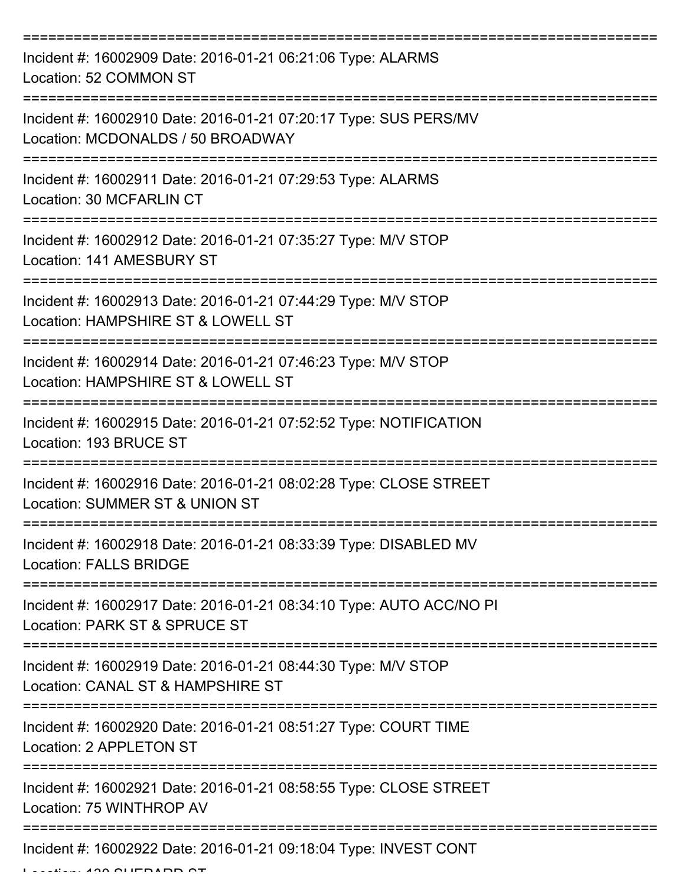| Incident #: 16002909 Date: 2016-01-21 06:21:06 Type: ALARMS<br>Location: 52 COMMON ST                 |
|-------------------------------------------------------------------------------------------------------|
| Incident #: 16002910 Date: 2016-01-21 07:20:17 Type: SUS PERS/MV<br>Location: MCDONALDS / 50 BROADWAY |
| Incident #: 16002911 Date: 2016-01-21 07:29:53 Type: ALARMS<br>Location: 30 MCFARLIN CT               |
| Incident #: 16002912 Date: 2016-01-21 07:35:27 Type: M/V STOP<br>Location: 141 AMESBURY ST            |
| Incident #: 16002913 Date: 2016-01-21 07:44:29 Type: M/V STOP<br>Location: HAMPSHIRE ST & LOWELL ST   |
| Incident #: 16002914 Date: 2016-01-21 07:46:23 Type: M/V STOP<br>Location: HAMPSHIRE ST & LOWELL ST   |
| Incident #: 16002915 Date: 2016-01-21 07:52:52 Type: NOTIFICATION<br>Location: 193 BRUCE ST           |
| Incident #: 16002916 Date: 2016-01-21 08:02:28 Type: CLOSE STREET<br>Location: SUMMER ST & UNION ST   |
| Incident #: 16002918 Date: 2016-01-21 08:33:39 Type: DISABLED MV<br><b>Location: FALLS BRIDGE</b>     |
| Incident #: 16002917 Date: 2016-01-21 08:34:10 Type: AUTO ACC/NO PI<br>Location: PARK ST & SPRUCE ST  |
| Incident #: 16002919 Date: 2016-01-21 08:44:30 Type: M/V STOP<br>Location: CANAL ST & HAMPSHIRE ST    |
| Incident #: 16002920 Date: 2016-01-21 08:51:27 Type: COURT TIME<br>Location: 2 APPLETON ST            |
| Incident #: 16002921 Date: 2016-01-21 08:58:55 Type: CLOSE STREET<br>Location: 75 WINTHROP AV         |
| Incident #: 16002922 Date: 2016-01-21 09:18:04 Type: INVEST CONT                                      |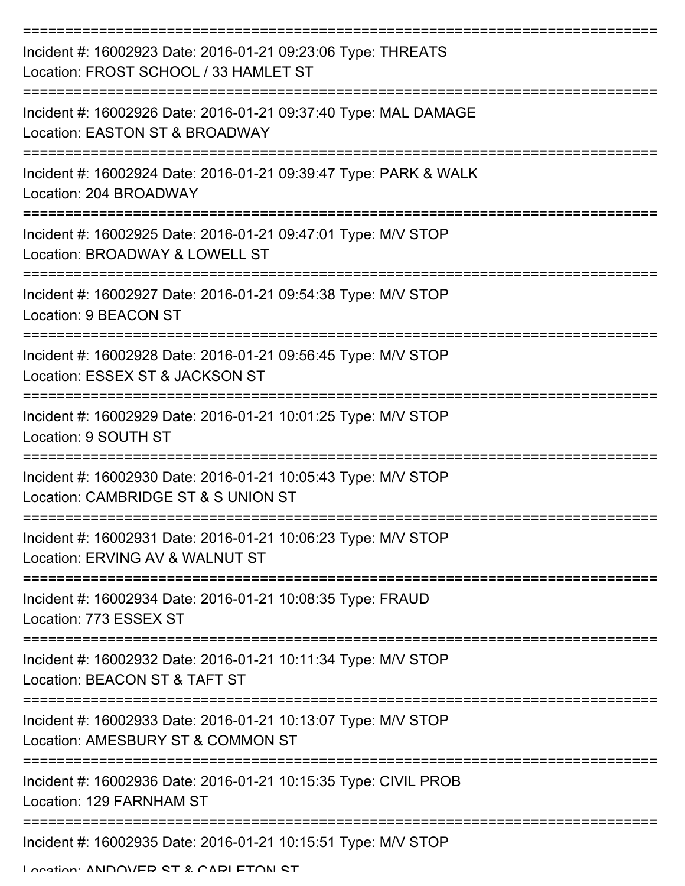| Incident #: 16002923 Date: 2016-01-21 09:23:06 Type: THREATS<br>Location: FROST SCHOOL / 33 HAMLET ST |
|-------------------------------------------------------------------------------------------------------|
| Incident #: 16002926 Date: 2016-01-21 09:37:40 Type: MAL DAMAGE<br>Location: EASTON ST & BROADWAY     |
| Incident #: 16002924 Date: 2016-01-21 09:39:47 Type: PARK & WALK<br>Location: 204 BROADWAY            |
| Incident #: 16002925 Date: 2016-01-21 09:47:01 Type: M/V STOP<br>Location: BROADWAY & LOWELL ST       |
| Incident #: 16002927 Date: 2016-01-21 09:54:38 Type: M/V STOP<br>Location: 9 BEACON ST                |
| Incident #: 16002928 Date: 2016-01-21 09:56:45 Type: M/V STOP<br>Location: ESSEX ST & JACKSON ST      |
| Incident #: 16002929 Date: 2016-01-21 10:01:25 Type: M/V STOP<br>Location: 9 SOUTH ST                 |
| Incident #: 16002930 Date: 2016-01-21 10:05:43 Type: M/V STOP<br>Location: CAMBRIDGE ST & S UNION ST  |
| Incident #: 16002931 Date: 2016-01-21 10:06:23 Type: M/V STOP<br>Location: ERVING AV & WALNUT ST      |
| Incident #: 16002934 Date: 2016-01-21 10:08:35 Type: FRAUD<br>Location: 773 ESSEX ST                  |
| Incident #: 16002932 Date: 2016-01-21 10:11:34 Type: M/V STOP<br>Location: BEACON ST & TAFT ST        |
| Incident #: 16002933 Date: 2016-01-21 10:13:07 Type: M/V STOP<br>Location: AMESBURY ST & COMMON ST    |
| Incident #: 16002936 Date: 2016-01-21 10:15:35 Type: CIVIL PROB<br>Location: 129 FARNHAM ST           |
| Incident #: 16002935 Date: 2016-01-21 10:15:51 Type: M/V STOP<br>Location: ANDOVED CT & CADI ETONI CT |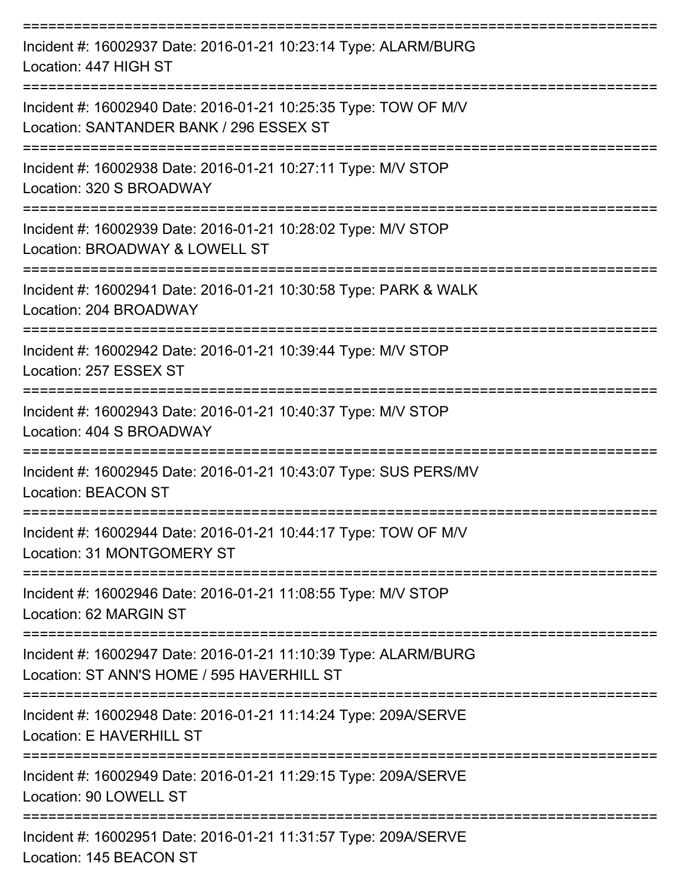| Incident #: 16002937 Date: 2016-01-21 10:23:14 Type: ALARM/BURG<br>Location: 447 HIGH ST                      |
|---------------------------------------------------------------------------------------------------------------|
| Incident #: 16002940 Date: 2016-01-21 10:25:35 Type: TOW OF M/V<br>Location: SANTANDER BANK / 296 ESSEX ST    |
| Incident #: 16002938 Date: 2016-01-21 10:27:11 Type: M/V STOP<br>Location: 320 S BROADWAY                     |
| Incident #: 16002939 Date: 2016-01-21 10:28:02 Type: M/V STOP<br>Location: BROADWAY & LOWELL ST               |
| Incident #: 16002941 Date: 2016-01-21 10:30:58 Type: PARK & WALK<br>Location: 204 BROADWAY                    |
| Incident #: 16002942 Date: 2016-01-21 10:39:44 Type: M/V STOP<br>Location: 257 ESSEX ST                       |
| Incident #: 16002943 Date: 2016-01-21 10:40:37 Type: M/V STOP<br>Location: 404 S BROADWAY                     |
| Incident #: 16002945 Date: 2016-01-21 10:43:07 Type: SUS PERS/MV<br><b>Location: BEACON ST</b>                |
| Incident #: 16002944 Date: 2016-01-21 10:44:17 Type: TOW OF M/V<br>Location: 31 MONTGOMERY ST                 |
| Incident #: 16002946 Date: 2016-01-21 11:08:55 Type: M/V STOP<br>Location: 62 MARGIN ST                       |
| Incident #: 16002947 Date: 2016-01-21 11:10:39 Type: ALARM/BURG<br>Location: ST ANN'S HOME / 595 HAVERHILL ST |
| Incident #: 16002948 Date: 2016-01-21 11:14:24 Type: 209A/SERVE<br>Location: E HAVERHILL ST                   |
| Incident #: 16002949 Date: 2016-01-21 11:29:15 Type: 209A/SERVE<br>Location: 90 LOWELL ST                     |
| Incident #: 16002951 Date: 2016-01-21 11:31:57 Type: 209A/SERVE<br>Location: 145 BEACON ST                    |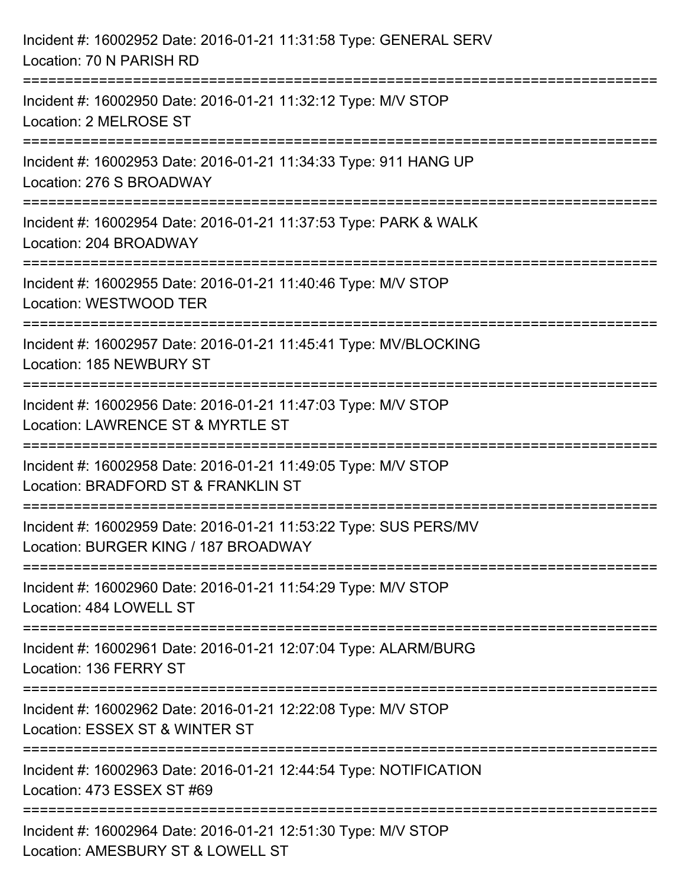| Incident #: 16002952 Date: 2016-01-21 11:31:58 Type: GENERAL SERV<br>Location: 70 N PARISH RD                                                                     |
|-------------------------------------------------------------------------------------------------------------------------------------------------------------------|
| :=====================<br>Incident #: 16002950 Date: 2016-01-21 11:32:12 Type: M/V STOP<br>Location: 2 MELROSE ST                                                 |
| Incident #: 16002953 Date: 2016-01-21 11:34:33 Type: 911 HANG UP<br>Location: 276 S BROADWAY<br>==================================<br>=========================== |
| Incident #: 16002954 Date: 2016-01-21 11:37:53 Type: PARK & WALK<br>Location: 204 BROADWAY                                                                        |
| Incident #: 16002955 Date: 2016-01-21 11:40:46 Type: M/V STOP<br>Location: WESTWOOD TER                                                                           |
| Incident #: 16002957 Date: 2016-01-21 11:45:41 Type: MV/BLOCKING<br>Location: 185 NEWBURY ST                                                                      |
| Incident #: 16002956 Date: 2016-01-21 11:47:03 Type: M/V STOP<br>Location: LAWRENCE ST & MYRTLE ST                                                                |
| Incident #: 16002958 Date: 2016-01-21 11:49:05 Type: M/V STOP<br>Location: BRADFORD ST & FRANKLIN ST                                                              |
| Incident #: 16002959 Date: 2016-01-21 11:53:22 Type: SUS PERS/MV<br>Location: BURGER KING / 187 BROADWAY                                                          |
| Incident #: 16002960 Date: 2016-01-21 11:54:29 Type: M/V STOP<br>Location: 484 LOWELL ST                                                                          |
| Incident #: 16002961 Date: 2016-01-21 12:07:04 Type: ALARM/BURG<br>Location: 136 FERRY ST                                                                         |
| Incident #: 16002962 Date: 2016-01-21 12:22:08 Type: M/V STOP<br>Location: ESSEX ST & WINTER ST                                                                   |
| Incident #: 16002963 Date: 2016-01-21 12:44:54 Type: NOTIFICATION<br>Location: 473 ESSEX ST #69                                                                   |
| Incident #: 16002964 Date: 2016-01-21 12:51:30 Type: M/V STOP<br>Location: AMESBURY ST & LOWELL ST                                                                |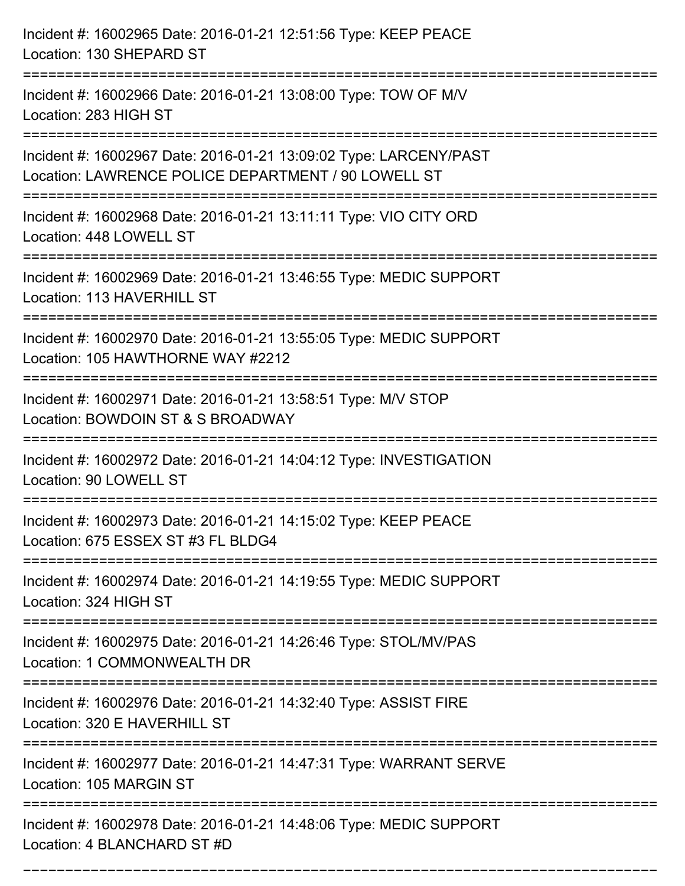| Incident #: 16002965 Date: 2016-01-21 12:51:56 Type: KEEP PEACE<br>Location: 130 SHEPARD ST                              |
|--------------------------------------------------------------------------------------------------------------------------|
| Incident #: 16002966 Date: 2016-01-21 13:08:00 Type: TOW OF M/V<br>Location: 283 HIGH ST                                 |
| Incident #: 16002967 Date: 2016-01-21 13:09:02 Type: LARCENY/PAST<br>Location: LAWRENCE POLICE DEPARTMENT / 90 LOWELL ST |
| Incident #: 16002968 Date: 2016-01-21 13:11:11 Type: VIO CITY ORD<br>Location: 448 LOWELL ST                             |
| Incident #: 16002969 Date: 2016-01-21 13:46:55 Type: MEDIC SUPPORT<br>Location: 113 HAVERHILL ST                         |
| Incident #: 16002970 Date: 2016-01-21 13:55:05 Type: MEDIC SUPPORT<br>Location: 105 HAWTHORNE WAY #2212                  |
| Incident #: 16002971 Date: 2016-01-21 13:58:51 Type: M/V STOP<br>Location: BOWDOIN ST & S BROADWAY<br>============       |
| Incident #: 16002972 Date: 2016-01-21 14:04:12 Type: INVESTIGATION<br>Location: 90 LOWELL ST                             |
| Incident #: 16002973 Date: 2016-01-21 14:15:02 Type: KEEP PEACE<br>Location: 675 ESSEX ST #3 FL BLDG4                    |
| Incident #: 16002974 Date: 2016-01-21 14:19:55 Type: MEDIC SUPPORT<br>Location: 324 HIGH ST                              |
| Incident #: 16002975 Date: 2016-01-21 14:26:46 Type: STOL/MV/PAS<br>Location: 1 COMMONWEALTH DR                          |
| Incident #: 16002976 Date: 2016-01-21 14:32:40 Type: ASSIST FIRE<br>Location: 320 E HAVERHILL ST                         |
| Incident #: 16002977 Date: 2016-01-21 14:47:31 Type: WARRANT SERVE<br>Location: 105 MARGIN ST                            |
| Incident #: 16002978 Date: 2016-01-21 14:48:06 Type: MEDIC SUPPORT<br>Location: 4 BLANCHARD ST #D                        |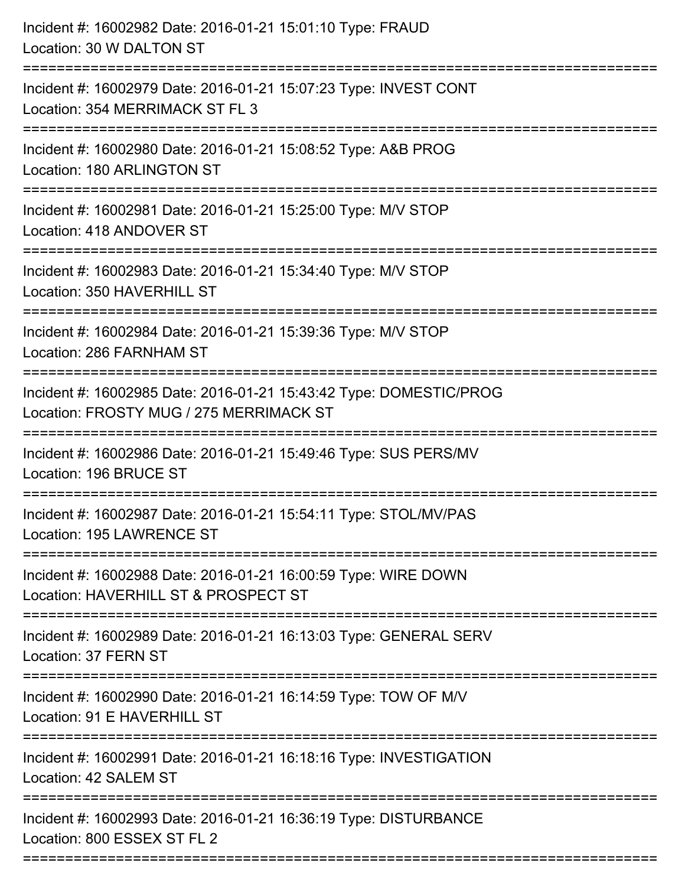| Incident #: 16002982 Date: 2016-01-21 15:01:10 Type: FRAUD<br>Location: 30 W DALTON ST                                             |
|------------------------------------------------------------------------------------------------------------------------------------|
| Incident #: 16002979 Date: 2016-01-21 15:07:23 Type: INVEST CONT<br>Location: 354 MERRIMACK ST FL 3                                |
| Incident #: 16002980 Date: 2016-01-21 15:08:52 Type: A&B PROG<br>Location: 180 ARLINGTON ST<br>:=============================      |
| Incident #: 16002981 Date: 2016-01-21 15:25:00 Type: M/V STOP<br>Location: 418 ANDOVER ST                                          |
| Incident #: 16002983 Date: 2016-01-21 15:34:40 Type: M/V STOP<br>Location: 350 HAVERHILL ST                                        |
| Incident #: 16002984 Date: 2016-01-21 15:39:36 Type: M/V STOP<br>Location: 286 FARNHAM ST                                          |
| Incident #: 16002985 Date: 2016-01-21 15:43:42 Type: DOMESTIC/PROG<br>Location: FROSTY MUG / 275 MERRIMACK ST<br>================= |
| Incident #: 16002986 Date: 2016-01-21 15:49:46 Type: SUS PERS/MV<br>Location: 196 BRUCE ST                                         |
| Incident #: 16002987 Date: 2016-01-21 15:54:11 Type: STOL/MV/PAS<br>Location: 195 LAWRENCE ST                                      |
| Incident #: 16002988 Date: 2016-01-21 16:00:59 Type: WIRE DOWN<br>Location: HAVERHILL ST & PROSPECT ST                             |
| Incident #: 16002989 Date: 2016-01-21 16:13:03 Type: GENERAL SERV<br>Location: 37 FERN ST                                          |
| Incident #: 16002990 Date: 2016-01-21 16:14:59 Type: TOW OF M/V<br>Location: 91 E HAVERHILL ST                                     |
| Incident #: 16002991 Date: 2016-01-21 16:18:16 Type: INVESTIGATION<br>Location: 42 SALEM ST                                        |
| Incident #: 16002993 Date: 2016-01-21 16:36:19 Type: DISTURBANCE<br>Location: 800 ESSEX ST FL 2                                    |
|                                                                                                                                    |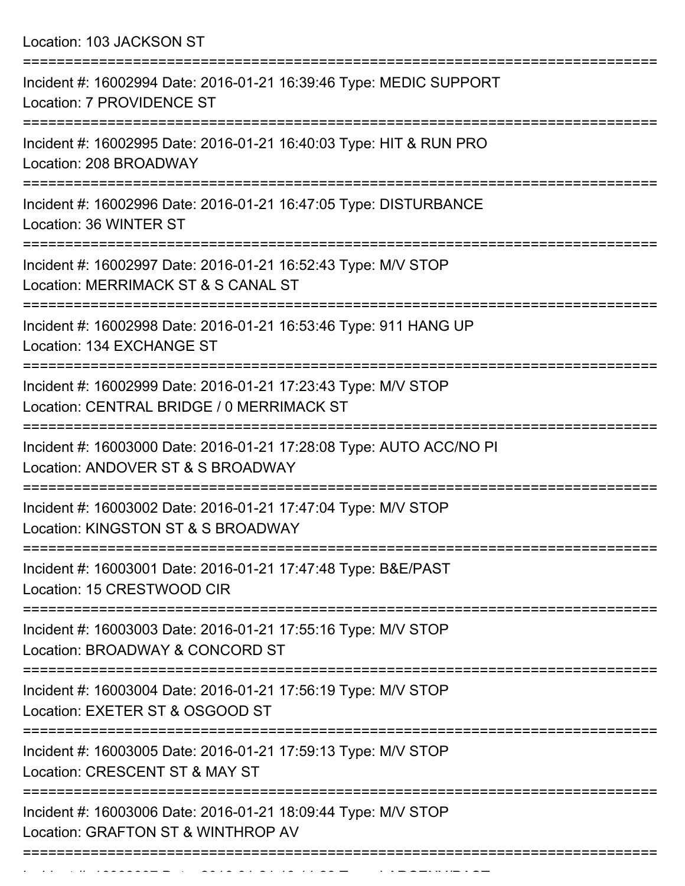Location: 103 JACKSON ST =========================================================================== Incident #: 16002994 Date: 2016-01-21 16:39:46 Type: MEDIC SUPPORT Location: 7 PROVIDENCE ST =========================================================================== Incident #: 16002995 Date: 2016-01-21 16:40:03 Type: HIT & RUN PRO Location: 208 BROADWAY =========================================================================== Incident #: 16002996 Date: 2016-01-21 16:47:05 Type: DISTURBANCE Location: 36 WINTER ST =========================================================================== Incident #: 16002997 Date: 2016-01-21 16:52:43 Type: M/V STOP Location: MERRIMACK ST & S CANAL ST =========================================================================== Incident #: 16002998 Date: 2016-01-21 16:53:46 Type: 911 HANG UP Location: 134 EXCHANGE ST =========================================================================== Incident #: 16002999 Date: 2016-01-21 17:23:43 Type: M/V STOP Location: CENTRAL BRIDGE / 0 MERRIMACK ST =========================================================================== Incident #: 16003000 Date: 2016-01-21 17:28:08 Type: AUTO ACC/NO PI Location: ANDOVER ST & S BROADWAY =========================================================================== Incident #: 16003002 Date: 2016-01-21 17:47:04 Type: M/V STOP Location: KINGSTON ST & S BROADWAY =========================================================================== Incident #: 16003001 Date: 2016-01-21 17:47:48 Type: B&E/PAST Location: 15 CRESTWOOD CIR =========================================================================== Incident #: 16003003 Date: 2016-01-21 17:55:16 Type: M/V STOP Location: BROADWAY & CONCORD ST =========================================================================== Incident #: 16003004 Date: 2016-01-21 17:56:19 Type: M/V STOP Location: EXETER ST & OSGOOD ST =========================================================================== Incident #: 16003005 Date: 2016-01-21 17:59:13 Type: M/V STOP Location: CRESCENT ST & MAY ST =========================================================================== Incident #: 16003006 Date: 2016-01-21 18:09:44 Type: M/V STOP Location: GRAFTON ST & WINTHROP AV

===========================================================================

Incident #: 16003007 Date: 2016 01 21 18:11:28 Type: 2016 12:28 Type: 2016 12:28 Type: 2016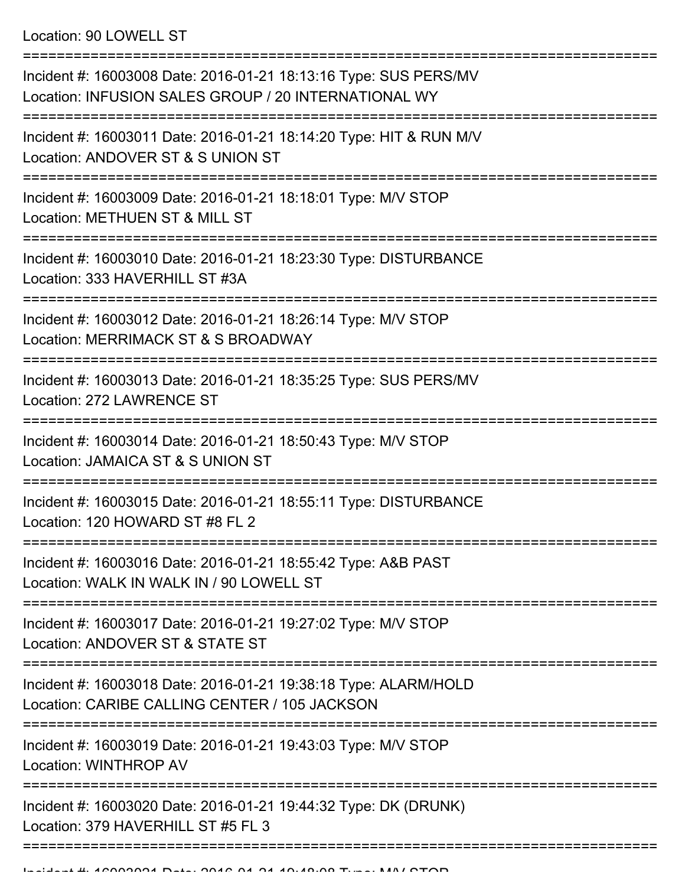| Incident #: 16003008 Date: 2016-01-21 18:13:16 Type: SUS PERS/MV<br>Location: INFUSION SALES GROUP / 20 INTERNATIONAL WY |
|--------------------------------------------------------------------------------------------------------------------------|
| Incident #: 16003011 Date: 2016-01-21 18:14:20 Type: HIT & RUN M/V<br>Location: ANDOVER ST & S UNION ST                  |
| Incident #: 16003009 Date: 2016-01-21 18:18:01 Type: M/V STOP<br>Location: METHUEN ST & MILL ST                          |
| Incident #: 16003010 Date: 2016-01-21 18:23:30 Type: DISTURBANCE<br>Location: 333 HAVERHILL ST #3A                       |
| Incident #: 16003012 Date: 2016-01-21 18:26:14 Type: M/V STOP<br>Location: MERRIMACK ST & S BROADWAY                     |
| Incident #: 16003013 Date: 2016-01-21 18:35:25 Type: SUS PERS/MV<br>Location: 272 LAWRENCE ST                            |
| Incident #: 16003014 Date: 2016-01-21 18:50:43 Type: M/V STOP<br>Location: JAMAICA ST & S UNION ST                       |
| Incident #: 16003015 Date: 2016-01-21 18:55:11 Type: DISTURBANCE<br>Location: 120 HOWARD ST #8 FL 2                      |
| Incident #: 16003016 Date: 2016-01-21 18:55:42 Type: A&B PAST<br>Location: WALK IN WALK IN / 90 LOWELL ST                |
| Incident #: 16003017 Date: 2016-01-21 19:27:02 Type: M/V STOP<br>Location: ANDOVER ST & STATE ST                         |
| Incident #: 16003018 Date: 2016-01-21 19:38:18 Type: ALARM/HOLD<br>Location: CARIBE CALLING CENTER / 105 JACKSON         |
| Incident #: 16003019 Date: 2016-01-21 19:43:03 Type: M/V STOP<br>Location: WINTHROP AV                                   |
| Incident #: 16003020 Date: 2016-01-21 19:44:32 Type: DK (DRUNK)<br>Location: 379 HAVERHILL ST #5 FL 3                    |
|                                                                                                                          |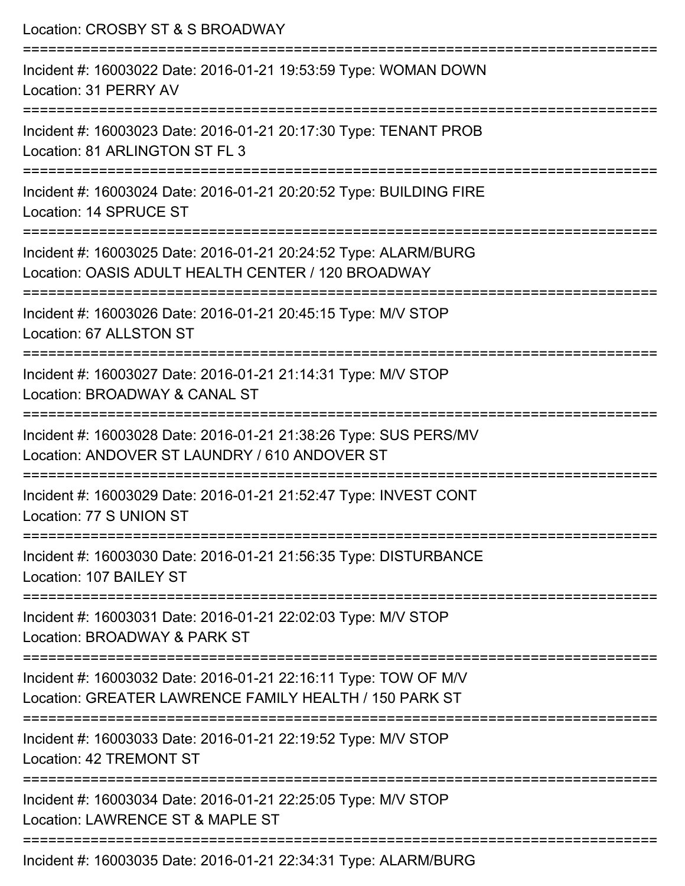| Location: CROSBY ST & S BROADWAY                                                                                          |
|---------------------------------------------------------------------------------------------------------------------------|
| Incident #: 16003022 Date: 2016-01-21 19:53:59 Type: WOMAN DOWN<br>Location: 31 PERRY AV                                  |
| Incident #: 16003023 Date: 2016-01-21 20:17:30 Type: TENANT PROB<br>Location: 81 ARLINGTON ST FL 3                        |
| Incident #: 16003024 Date: 2016-01-21 20:20:52 Type: BUILDING FIRE<br>Location: 14 SPRUCE ST                              |
| Incident #: 16003025 Date: 2016-01-21 20:24:52 Type: ALARM/BURG<br>Location: OASIS ADULT HEALTH CENTER / 120 BROADWAY     |
| Incident #: 16003026 Date: 2016-01-21 20:45:15 Type: M/V STOP<br>Location: 67 ALLSTON ST                                  |
| --------------------<br>Incident #: 16003027 Date: 2016-01-21 21:14:31 Type: M/V STOP<br>Location: BROADWAY & CANAL ST    |
| Incident #: 16003028 Date: 2016-01-21 21:38:26 Type: SUS PERS/MV<br>Location: ANDOVER ST LAUNDRY / 610 ANDOVER ST         |
| Incident #: 16003029 Date: 2016-01-21 21:52:47 Type: INVEST CONT<br>Location: 77 S UNION ST                               |
| Incident #: 16003030 Date: 2016-01-21 21:56:35 Type: DISTURBANCE<br>Location: 107 BAILEY ST                               |
| Incident #: 16003031 Date: 2016-01-21 22:02:03 Type: M/V STOP<br>Location: BROADWAY & PARK ST                             |
| Incident #: 16003032 Date: 2016-01-21 22:16:11 Type: TOW OF M/V<br>Location: GREATER LAWRENCE FAMILY HEALTH / 150 PARK ST |
| Incident #: 16003033 Date: 2016-01-21 22:19:52 Type: M/V STOP<br>Location: 42 TREMONT ST                                  |
| Incident #: 16003034 Date: 2016-01-21 22:25:05 Type: M/V STOP<br>Location: LAWRENCE ST & MAPLE ST                         |
| Incident #: 16003035 Date: 2016-01-21 22:34:31 Type: ALARM/BURG                                                           |